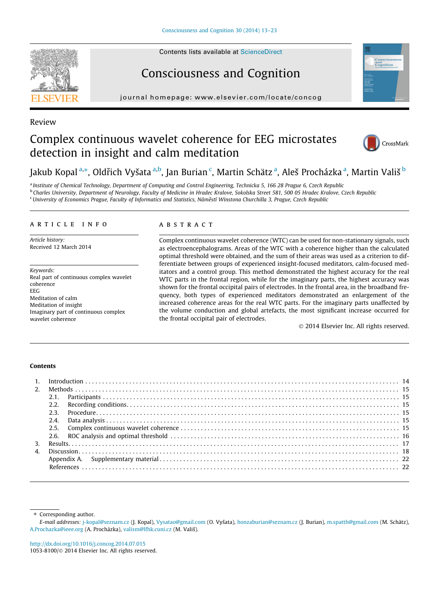Contents lists available at [ScienceDirect](http://www.sciencedirect.com/science/journal/10538100)

# Consciousness and Cognition

journal homepage: [www.elsevier.com/locate/concog](http://www.elsevier.com/locate/concog)

# Review

# Complex continuous wavelet coherence for EEG microstates detection in insight and calm meditation



Jakub Kopal <sup>a,</sup>\*, Oldřich Vyšata <sup>a,b</sup>, Jan Burian <sup>c</sup>, Martin Schätz <sup>a</sup>, Aleš Procházka <sup>a</sup>, Martin Vališ <sup>b</sup>

a Institute of Chemical Technology, Department of Computing and Control Engineering, Technicka 5, 166 28 Prague 6, Czech Republic <sup>b</sup> Charles University, Department of Neurology, Faculty of Medicine in Hradec Kralove, Sokolska Street 581, 500 05 Hradec Kralove, Czech Republic <sup>c</sup> University of Economics Prague, Faculty of Informatics and Statistics, Náměstí Winstona Churchilla 3, Prague, Czech Republic

### article info

Article history: Received 12 March 2014

Keywords: Real part of continuous complex wavelet coherence EEG Meditation of calm Meditation of insight Imaginary part of continuous complex wavelet coherence

#### **ARSTRACT**

Complex continuous wavelet coherence (WTC) can be used for non-stationary signals, such as electroencephalograms. Areas of the WTC with a coherence higher than the calculated optimal threshold were obtained, and the sum of their areas was used as a criterion to differentiate between groups of experienced insight-focused meditators, calm-focused meditators and a control group. This method demonstrated the highest accuracy for the real WTC parts in the frontal region, while for the imaginary parts, the highest accuracy was shown for the frontal occipital pairs of electrodes. In the frontal area, in the broadband frequency, both types of experienced meditators demonstrated an enlargement of the increased coherence areas for the real WTC parts. For the imaginary parts unaffected by the volume conduction and global artefacts, the most significant increase occurred for the frontal occipital pair of electrodes.

- 2014 Elsevier Inc. All rights reserved.

#### **Contents**

⇑ Corresponding author.

<http://dx.doi.org/10.1016/j.concog.2014.07.015> 1053-8100/© 2014 Elsevier Inc. All rights reserved.



E-mail addresses: [j-kopal@seznam.cz](mailto:j-kopal@seznam.cz) (J. Kopal), [Vysatao@gmail.com](mailto:Vysatao@gmail.com) (O. Vyšata), [honzaburian@seznam.cz](mailto:honzaburian@seznam.cz) (J. Burian), [m.spatth@gmail.com](mailto:m.spatth@gmail.com) (M. Schätz), [A.Prochazka@ieee.org](mailto:A.Prochazka@ieee.org) (A. Procházka), [valism@lfhk.cuni.cz](mailto:valism@lfhk.cuni.cz) (M. Vališ).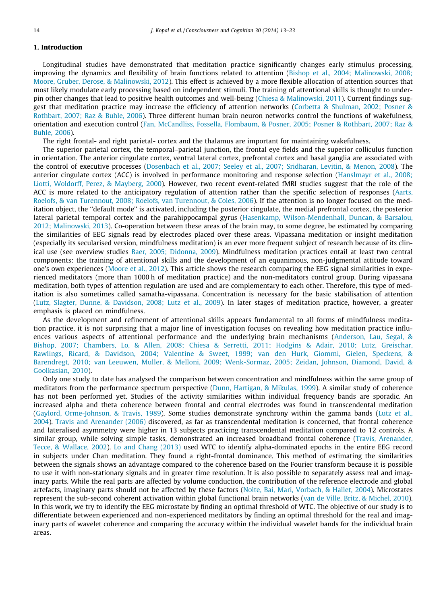## 1. Introduction

Longitudinal studies have demonstrated that meditation practice significantly changes early stimulus processing, improving the dynamics and flexibility of brain functions related to attention [\(Bishop et al., 2004; Malinowski, 2008;](#page-9-0) [Moore, Gruber, Derose, & Malinowski, 2012\)](#page-9-0). This effect is achieved by a more flexible allocation of attention sources that most likely modulate early processing based on independent stimuli. The training of attentional skills is thought to underpin other changes that lead to positive health outcomes and well-being [\(Chiesa & Malinowski, 2011\)](#page-10-0). Current findings suggest that meditation practice may increase the efficiency of attention networks [\(Corbetta & Shulman, 2002; Posner &](#page-10-0) [Rothbart, 2007; Raz & Buhle, 2006\)](#page-10-0). Three different human brain neuron networks control the functions of wakefulness, orientation and execution control [\(Fan, McCandliss, Fossella, Flombaum, & Posner, 2005; Posner & Rothbart, 2007; Raz &](#page-10-0) [Buhle, 2006\)](#page-10-0).

The right frontal- and right parietal- cortex and the thalamus are important for maintaining wakefulness.

The superior parietal cortex, the temporal–parietal junction, the frontal eye fields and the superior colliculus function in orientation. The anterior cingulate cortex, ventral lateral cortex, prefrontal cortex and basal ganglia are associated with the control of executive processes [\(Dosenbach et al., 2007; Seeley et al., 2007; Sridharan, Levitin, & Menon, 2008](#page-10-0)). The anterior cingulate cortex (ACC) is involved in performance monitoring and response selection ([Hanslmayr et al., 2008;](#page-10-0) [Liotti, Woldorff, Perez, & Mayberg, 2000\)](#page-10-0). However, two recent event-related fMRI studies suggest that the role of the ACC is more related to the anticipatory regulation of attention rather than the specific selection of responses ([Aarts,](#page-9-0) [Roelofs, & van Turennout, 2008; Roelofs, van Turennout, & Coles, 2006\)](#page-9-0). If the attention is no longer focused on the meditation object, the ''default mode'' is activated, including the posterior cingulate, the medial prefrontal cortex, the posterior lateral parietal temporal cortex and the parahippocampal gyrus [\(Hasenkamp, Wilson-Mendenhall, Duncan, & Barsalou,](#page-10-0) [2012; Malinowski, 2013](#page-10-0)). Co-operation between these areas of the brain may, to some degree, be estimated by comparing the similarities of EEG signals read by electrodes placed over these areas. Vipassana meditation or insight meditation (especially its secularised version, mindfulness meditation) is an ever more frequent subject of research because of its clinical use (see overview studies [Baer, 2005; Didonna, 2009](#page-9-0)). Mindfulness meditation practices entail at least two central components: the training of attentional skills and the development of an equanimous, non-judgmental attitude toward one's own experiences ([Moore et al., 2012](#page-10-0)). This article shows the research comparing the EEG signal similarities in experienced meditators (more than 1000 h of meditation practice) and the non-meditators control group. During vipassana meditation, both types of attention regulation are used and are complementary to each other. Therefore, this type of meditation is also sometimes called samatha-vipassana. Concentration is necessary for the basic stabilisation of attention [\(Lutz, Slagter, Dunne, & Davidson, 2008; Lutz et al., 2009](#page-10-0)). In later stages of meditation practice, however, a greater emphasis is placed on mindfulness.

As the development and refinement of attentional skills appears fundamental to all forms of mindfulness meditation practice, it is not surprising that a major line of investigation focuses on revealing how meditation practice influences various aspects of attentional performance and the underlying brain mechanisms [\(Anderson, Lau, Segal, &](#page-9-0) [Bishop, 2007; Chambers, Lo, & Allen, 2008; Chiesa & Serretti, 2011; Hodgins & Adair, 2010; Lutz, Greischar,](#page-9-0) [Rawlings, Ricard, & Davidson, 2004; Valentine & Sweet, 1999; van den Hurk, Giommi, Gielen, Speckens, &](#page-9-0) [Barendregt, 2010; van Leeuwen, Muller, & Melloni, 2009; Wenk-Sormaz, 2005; Zeidan, Johnson, Diamond, David, &](#page-9-0) [Goolkasian, 2010](#page-9-0)).

Only one study to date has analysed the comparison between concentration and mindfulness within the same group of meditators from the performance spectrum perspective ([Dunn, Hartigan, & Mikulas, 1999](#page-10-0)). A similar study of coherence has not been performed yet. Studies of the activity similarities within individual frequency bands are sporadic. An increased alpha and theta coherence between frontal and central electrodes was found in transcendental meditation [\(Gaylord, Orme-Johnson, & Travis, 1989\)](#page-10-0). Some studies demonstrate synchrony within the gamma bands [\(Lutz et al.,](#page-10-0) [2004](#page-10-0)). [Travis and Arenander \(2006\)](#page-10-0) discovered, as far as transcendental meditation is concerned, that frontal coherence and lateralised asymmetry were higher in 13 subjects practicing transcendental meditation compared to 12 controls. A similar group, while solving simple tasks, demonstrated an increased broadband frontal coherence ([Travis, Arenander,](#page-10-0) [Tecce, & Wallace, 2002](#page-10-0)). [Lo and Chang \(2013\)](#page-10-0) used WTC to identify alpha-dominated epochs in the entire EEG record in subjects under Chan meditation. They found a right-frontal dominance. This method of estimating the similarities between the signals shows an advantage compared to the coherence based on the Fourier transform because it is possible to use it with non-stationary signals and in greater time resolution. It is also possible to separately assess real and imaginary parts. While the real parts are affected by volume conduction, the contribution of the reference electrode and global artefacts, imaginary parts should not be affected by these factors [\(Nolte, Bai, Mari, Vorbach, & Hallet, 2004](#page-10-0)). Microstates represent the sub-second coherent activation within global functional brain networks [\(van de Ville, Britz, & Michel, 2010](#page-10-0)). In this work, we try to identify the EEG microstate by finding an optimal threshold of WTC. The objective of our study is to differentiate between experienced and non-experienced meditators by finding an optimal threshold for the real and imaginary parts of wavelet coherence and comparing the accuracy within the individual wavelet bands for the individual brain areas.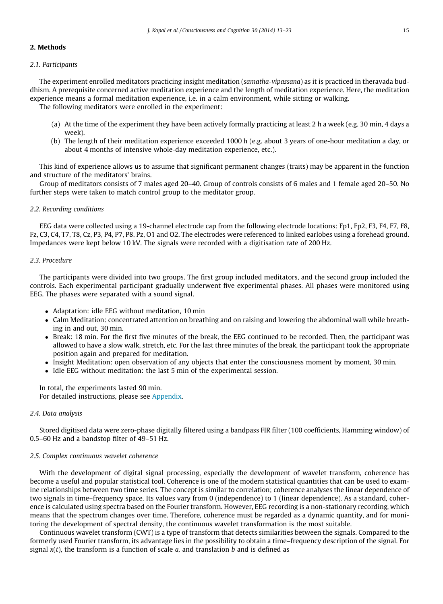## 2. Methods

## 2.1. Participants

The experiment enrolled meditators practicing insight meditation (samatha-vipassana) as it is practiced in theravada buddhism. A prerequisite concerned active meditation experience and the length of meditation experience. Here, the meditation experience means a formal meditation experience, i.e. in a calm environment, while sitting or walking.

The following meditators were enrolled in the experiment:

- (a) At the time of the experiment they have been actively formally practicing at least 2 h a week (e.g. 30 min, 4 days a week).
- (b) The length of their meditation experience exceeded 1000 h (e.g. about 3 years of one-hour meditation a day, or about 4 months of intensive whole-day meditation experience, etc.).

This kind of experience allows us to assume that significant permanent changes (traits) may be apparent in the function and structure of the meditators' brains.

Group of meditators consists of 7 males aged 20–40. Group of controls consists of 6 males and 1 female aged 20–50. No further steps were taken to match control group to the meditator group.

#### 2.2. Recording conditions

EEG data were collected using a 19-channel electrode cap from the following electrode locations: Fp1, Fp2, F3, F4, F7, F8, Fz, C3, C4, T7, T8, Cz, P3, P4, P7, P8, Pz, O1 and O2. The electrodes were referenced to linked earlobes using a forehead ground. Impedances were kept below 10 kV. The signals were recorded with a digitisation rate of 200 Hz.

#### 2.3. Procedure

The participants were divided into two groups. The first group included meditators, and the second group included the controls. Each experimental participant gradually underwent five experimental phases. All phases were monitored using EEG. The phases were separated with a sound signal.

- Adaptation: idle EEG without meditation, 10 min
- Calm Meditation: concentrated attention on breathing and on raising and lowering the abdominal wall while breathing in and out, 30 min.
- Break: 18 min. For the first five minutes of the break, the EEG continued to be recorded. Then, the participant was allowed to have a slow walk, stretch, etc. For the last three minutes of the break, the participant took the appropriate position again and prepared for meditation.
- Insight Meditation: open observation of any objects that enter the consciousness moment by moment, 30 min.
- Idle EEG without meditation: the last 5 min of the experimental session.

In total, the experiments lasted 90 min. For detailed instructions, please see Appendix.

#### 2.4. Data analysis

Stored digitised data were zero-phase digitally filtered using a bandpass FIR filter (100 coefficients, Hamming window) of 0.5–60 Hz and a bandstop filter of 49–51 Hz.

#### 2.5. Complex continuous wavelet coherence

With the development of digital signal processing, especially the development of wavelet transform, coherence has become a useful and popular statistical tool. Coherence is one of the modern statistical quantities that can be used to examine relationships between two time series. The concept is similar to correlation; coherence analyses the linear dependence of two signals in time–frequency space. Its values vary from 0 (independence) to 1 (linear dependence). As a standard, coherence is calculated using spectra based on the Fourier transform. However, EEG recording is a non-stationary recording, which means that the spectrum changes over time. Therefore, coherence must be regarded as a dynamic quantity, and for monitoring the development of spectral density, the continuous wavelet transformation is the most suitable.

Continuous wavelet transform (CWT) is a type of transform that detects similarities between the signals. Compared to the formerly used Fourier transform, its advantage lies in the possibility to obtain a time–frequency description of the signal. For signal  $x(t)$ , the transform is a function of scale a, and translation b and is defined as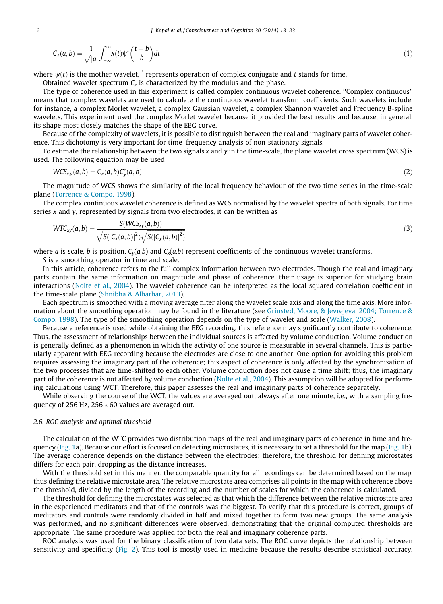$$
C_x(a,b) = \frac{1}{\sqrt{|a|}} \int_{-\infty}^{\infty} x(t) \psi^* \left(\frac{t-b}{b}\right) dt \tag{1}
$$

where  $\psi(t)$  is the mother wavelet, \* represents operation of complex conjugate and t stands for time.

Obtained wavelet spectrum  $C_x$  is characterized by the modulus and the phase.

The type of coherence used in this experiment is called complex continuous wavelet coherence. ''Complex continuous'' means that complex wavelets are used to calculate the continuous wavelet transform coefficients. Such wavelets include, for instance, a complex Morlet wavelet, a complex Gaussian wavelet, a complex Shannon wavelet and Frequency B-spline wavelets. This experiment used the complex Morlet wavelet because it provided the best results and because, in general, its shape most closely matches the shape of the EEG curve.

Because of the complexity of wavelets, it is possible to distinguish between the real and imaginary parts of wavelet coherence. This dichotomy is very important for time–frequency analysis of non-stationary signals.

To estimate the relationship between the two signals x and y in the time-scale, the plane wavelet cross spectrum (WCS) is used. The following equation may be used

$$
WCS_{xy}(a,b) = C_x(a,b)C_y^*(a,b)
$$
\n(2)

The magnitude of WCS shows the similarity of the local frequency behaviour of the two time series in the time-scale plane ([Torrence & Compo, 1998\)](#page-10-0).

The complex continuous wavelet coherence is defined as WCS normalised by the wavelet spectra of both signals. For time series  $x$  and  $y$ , represented by signals from two electrodes, it can be written as

$$
WTC_{xy}(a,b) = \frac{S(WCS_{xy}(a,b))}{\sqrt{S(|C_x(a,b)|^2)}\sqrt{S(|C_y(a,b)|^2)}}
$$
(3)

where *a* is scale, *b* is position,  $C_y(a,b)$  and  $C_x(a,b)$  represent coefficients of the continuous wavelet transforms.

S is a smoothing operator in time and scale.

In this article, coherence refers to the full complex information between two electrodes. Though the real and imaginary parts contain the same information on magnitude and phase of coherence, their usage is superior for studying brain interactions [\(Nolte et al., 2004\)](#page-10-0). The wavelet coherence can be interpreted as the local squared correlation coefficient in the time-scale plane [\(Shnibha & Albarbar, 2013\)](#page-10-0).

Each spectrum is smoothed with a moving average filter along the wavelet scale axis and along the time axis. More information about the smoothing operation may be found in the literature (see [Grinsted, Moore, & Jevrejeva, 2004; Torrence &](#page-10-0) [Compo, 1998](#page-10-0)). The type of the smoothing operation depends on the type of wavelet and scale [\(Walker, 2008](#page-10-0)).

Because a reference is used while obtaining the EEG recording, this reference may significantly contribute to coherence. Thus, the assessment of relationships between the individual sources is affected by volume conduction. Volume conduction is generally defined as a phenomenon in which the activity of one source is measurable in several channels. This is particularly apparent with EEG recording because the electrodes are close to one another. One option for avoiding this problem requires assessing the imaginary part of the coherence; this aspect of coherence is only affected by the synchronisation of the two processes that are time-shifted to each other. Volume conduction does not cause a time shift; thus, the imaginary part of the coherence is not affected by volume conduction ([Nolte et al., 2004\)](#page-10-0). This assumption will be adopted for performing calculations using WCT. Therefore, this paper assesses the real and imaginary parts of coherence separately.

While observing the course of the WCT, the values are averaged out, always after one minute, i.e., with a sampling frequency of 256 Hz,  $256 * 60$  values are averaged out.

#### 2.6. ROC analysis and optimal threshold

The calculation of the WTC provides two distribution maps of the real and imaginary parts of coherence in time and fre-quency [\(Fig. 1](#page-4-0)a). Because our effort is focused on detecting microstates, it is necessary to set a threshold for the map ([Fig. 1b](#page-4-0)). The average coherence depends on the distance between the electrodes; therefore, the threshold for defining microstates differs for each pair, dropping as the distance increases.

With the threshold set in this manner, the comparable quantity for all recordings can be determined based on the map, thus defining the relative microstate area. The relative microstate area comprises all points in the map with coherence above the threshold, divided by the length of the recording and the number of scales for which the coherence is calculated.

The threshold for defining the microstates was selected as that which the difference between the relative microstate area in the experienced meditators and that of the controls was the biggest. To verify that this procedure is correct, groups of meditators and controls were randomly divided in half and mixed together to form two new groups. The same analysis was performed, and no significant differences were observed, demonstrating that the original computed thresholds are appropriate. The same procedure was applied for both the real and imaginary coherence parts.

ROC analysis was used for the binary classification of two data sets. The ROC curve depicts the relationship between sensitivity and specificity [\(Fig. 2\)](#page-5-0). This tool is mostly used in medicine because the results describe statistical accuracy.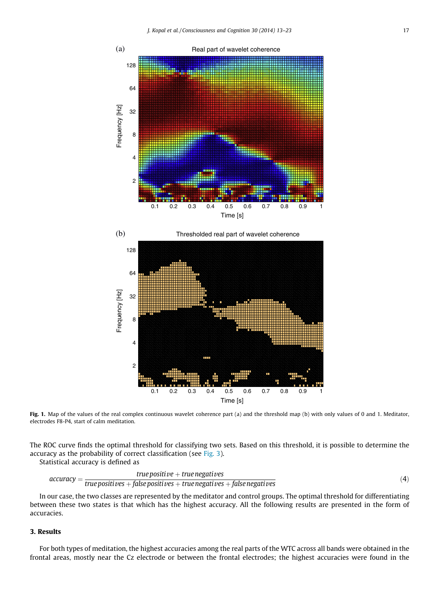<span id="page-4-0"></span>

Fig. 1. Map of the values of the real complex continuous wavelet coherence part (a) and the threshold map (b) with only values of 0 and 1. Meditator, electrodes F8-P4, start of calm meditation.

The ROC curve finds the optimal threshold for classifying two sets. Based on this threshold, it is possible to determine the accuracy as the probability of correct classification (see [Fig. 3\)](#page-5-0).

Statistical accuracy is defined as

$$
accuracy = \frac{true}{true}{positive + true negative + true negative + false negative}
$$
\n(4)

In our case, the two classes are represented by the meditator and control groups. The optimal threshold for differentiating between these two states is that which has the highest accuracy. All the following results are presented in the form of accuracies.

## 3. Results

For both types of meditation, the highest accuracies among the real parts of the WTC across all bands were obtained in the frontal areas, mostly near the Cz electrode or between the frontal electrodes; the highest accuracies were found in the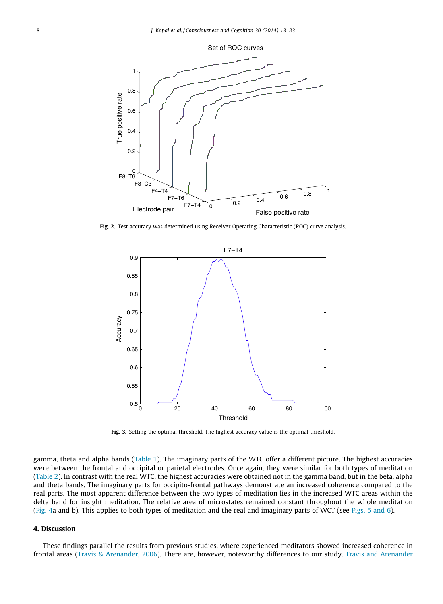<span id="page-5-0"></span>

False positive rate





Fig. 3. Setting the optimal threshold. The highest accuracy value is the optimal threshold.

gamma, theta and alpha bands [\(Table 1](#page-6-0)). The imaginary parts of the WTC offer a different picture. The highest accuracies were between the frontal and occipital or parietal electrodes. Once again, they were similar for both types of meditation [\(Table 2](#page-6-0)). In contrast with the real WTC, the highest accuracies were obtained not in the gamma band, but in the beta, alpha and theta bands. The imaginary parts for occipito-frontal pathways demonstrate an increased coherence compared to the real parts. The most apparent difference between the two types of meditation lies in the increased WTC areas within the delta band for insight meditation. The relative area of microstates remained constant throughout the whole meditation [\(Fig. 4a](#page-7-0) and b). This applies to both types of meditation and the real and imaginary parts of WCT (see [Figs. 5 and 6](#page-8-0)).

## 4. Discussion

These findings parallel the results from previous studies, where experienced meditators showed increased coherence in frontal areas [\(Travis & Arenander, 2006](#page-10-0)). There are, however, noteworthy differences to our study. [Travis and Arenander](#page-10-0)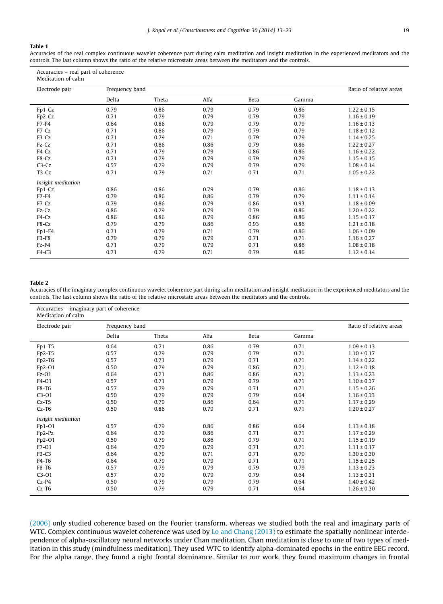#### <span id="page-6-0"></span>Table 1

Accuracies of the real complex continuous wavelet coherence part during calm meditation and insight meditation in the experienced meditators and the controls. The last column shows the ratio of the relative microstate areas between the meditators and the controls.

| Accuracies - real part of coherence<br>Meditation of calm |                |                         |      |      |       |                 |  |  |  |
|-----------------------------------------------------------|----------------|-------------------------|------|------|-------|-----------------|--|--|--|
| Electrode pair                                            | Frequency band | Ratio of relative areas |      |      |       |                 |  |  |  |
|                                                           | Delta          | Theta                   | Alfa | Beta | Gamma |                 |  |  |  |
| Fp1-Cz                                                    | 0.79           | 0.86                    | 0.79 | 0.79 | 0.86  | $1.22 \pm 0.15$ |  |  |  |
| Fp2-Cz                                                    | 0.71           | 0.79                    | 0.79 | 0.79 | 0.79  | $1.16 \pm 0.19$ |  |  |  |
| $F7-F4$                                                   | 0.64           | 0.86                    | 0.79 | 0.79 | 0.79  | $1.16 \pm 0.13$ |  |  |  |
| $F7-Cz$                                                   | 0.71           | 0.86                    | 0.79 | 0.79 | 0.79  | $1.18 \pm 0.12$ |  |  |  |
| F3-Cz                                                     | 0.71           | 0.79                    | 0.71 | 0.79 | 0.79  | $1.14 \pm 0.25$ |  |  |  |
| Fz-Cz                                                     | 0.71           | 0.86                    | 0.86 | 0.79 | 0.86  | $1.22 \pm 0.27$ |  |  |  |
| F4-Cz                                                     | 0.71           | 0.79                    | 0.79 | 0.86 | 0.86  | $1.16 \pm 0.22$ |  |  |  |
| F8-Cz                                                     | 0.71           | 0.79                    | 0.79 | 0.79 | 0.79  | $1.15 \pm 0.15$ |  |  |  |
| $C3-Cz$                                                   | 0.57           | 0.79                    | 0.79 | 0.79 | 0.79  | $1.08 \pm 0.14$ |  |  |  |
| $T3-Cz$                                                   | 0.71           | 0.79                    | 0.71 | 0.71 | 0.71  | $1.05 \pm 0.22$ |  |  |  |
| Insight meditation                                        |                |                         |      |      |       |                 |  |  |  |
| Fp1-Cz                                                    | 0.86           | 0.86                    | 0.79 | 0.79 | 0.86  | $1.18 \pm 0.13$ |  |  |  |
| $F7-F4$                                                   | 0.79           | 0.86                    | 0.86 | 0.79 | 0.79  | $1.11 \pm 0.14$ |  |  |  |
| $F7-Cz$                                                   | 0.79           | 0.86                    | 0.79 | 0.86 | 0.93  | $1.18 \pm 0.09$ |  |  |  |
| Fz-Cz                                                     | 0.86           | 0.79                    | 0.79 | 0.79 | 0.86  | $1.20 \pm 0.22$ |  |  |  |
| F4-Cz                                                     | 0.86           | 0.86                    | 0.79 | 0.86 | 0.86  | $1.15 \pm 0.17$ |  |  |  |
| F8-Cz                                                     | 0.79           | 0.79                    | 0.86 | 0.93 | 0.86  | $1.21 \pm 0.18$ |  |  |  |
| $Fp1-F4$                                                  | 0.71           | 0.79                    | 0.71 | 0.79 | 0.86  | $1.06 \pm 0.09$ |  |  |  |
| F3-F8                                                     | 0.79           | 0.79                    | 0.79 | 0.71 | 0.71  | $1.16 \pm 0.27$ |  |  |  |
| $Fz-F4$                                                   | 0.71           | 0.79                    | 0.79 | 0.71 | 0.86  | $1.08 \pm 0.18$ |  |  |  |
| F4-C3                                                     | 0.71           | 0.79                    | 0.71 | 0.79 | 0.86  | $1.12 \pm 0.14$ |  |  |  |

#### Table 2

Accuracies of the imaginary complex continuous wavelet coherence part during calm meditation and insight meditation in the experienced meditators and the controls. The last column shows the ratio of the relative microstate areas between the meditators and the controls.

| Electrode pair     | Frequency band | Ratio of relative areas |      |      |       |                 |
|--------------------|----------------|-------------------------|------|------|-------|-----------------|
|                    | Delta          | Theta                   | Alfa | Beta | Gamma |                 |
| Fp1-T5             | 0.64           | 0.71                    | 0.86 | 0.79 | 0.71  | $1.09 \pm 0.13$ |
| Fp2-T5             | 0.57           | 0.79                    | 0.79 | 0.79 | 0.71  | $1.10 \pm 0.17$ |
| Fp2-T6             | 0.57           | 0.71                    | 0.79 | 0.71 | 0.71  | $1.14 \pm 0.22$ |
| Fp2-01             | 0.50           | 0.79                    | 0.79 | 0.86 | 0.71  | $1.12 \pm 0.18$ |
| $Fz-01$            | 0.64           | 0.71                    | 0.86 | 0.86 | 0.71  | $1.13 \pm 0.23$ |
| F4-01              | 0.57           | 0.71                    | 0.79 | 0.79 | 0.71  | $1.10 \pm 0.37$ |
| F8-T6              | 0.57           | 0.79                    | 0.79 | 0.71 | 0.71  | $1.15 \pm 0.26$ |
| $C3-01$            | 0.50           | 0.79                    | 0.79 | 0.79 | 0.64  | $1.16 \pm 0.33$ |
| $Cz-T5$            | 0.50           | 0.79                    | 0.86 | 0.64 | 0.71  | $1.17 \pm 0.29$ |
| $Cz-T6$            | 0.50           | 0.86                    | 0.79 | 0.71 | 0.71  | $1.20 \pm 0.27$ |
| Insight meditation |                |                         |      |      |       |                 |
| Fp1-01             | 0.57           | 0.79                    | 0.86 | 0.86 | 0.64  | $1.13 \pm 0.18$ |
| Fp2-Pz             | 0.64           | 0.79                    | 0.86 | 0.71 | 0.71  | $1.17 \pm 0.29$ |
| Fp2-01             | 0.50           | 0.79                    | 0.86 | 0.79 | 0.71  | $1.15 \pm 0.19$ |
| F7-01              | 0.64           | 0.79                    | 0.79 | 0.71 | 0.71  | $1.11 \pm 0.17$ |
| $F3-C3$            | 0.64           | 0.79                    | 0.71 | 0.71 | 0.79  | $1.30 \pm 0.30$ |
| F4-T6              | 0.64           | 0.79                    | 0.79 | 0.71 | 0.71  | $1.15 \pm 0.25$ |
| F8-T6              | 0.57           | 0.79                    | 0.79 | 0.79 | 0.79  | $1.13 \pm 0.23$ |
| $C3-01$            | 0.57           | 0.79                    | 0.79 | 0.79 | 0.64  | $1.13 \pm 0.31$ |
| $Cz-P4$            | 0.50           | 0.79                    | 0.79 | 0.79 | 0.64  | $1.40 \pm 0.42$ |
| $Cz-T6$            | 0.50           | 0.79                    | 0.79 | 0.71 | 0.64  | $1.26 \pm 0.30$ |

[\(2006\)](#page-10-0) only studied coherence based on the Fourier transform, whereas we studied both the real and imaginary parts of WTC. Complex continuous wavelet coherence was used by [Lo and Chang \(2013\)](#page-10-0) to estimate the spatially nonlinear interdependence of alpha-oscillatory neural networks under Chan meditation. Chan meditation is close to one of two types of meditation in this study (mindfulness meditation). They used WTC to identify alpha-dominated epochs in the entire EEG record. For the alpha range, they found a right frontal dominance. Similar to our work, they found maximum changes in frontal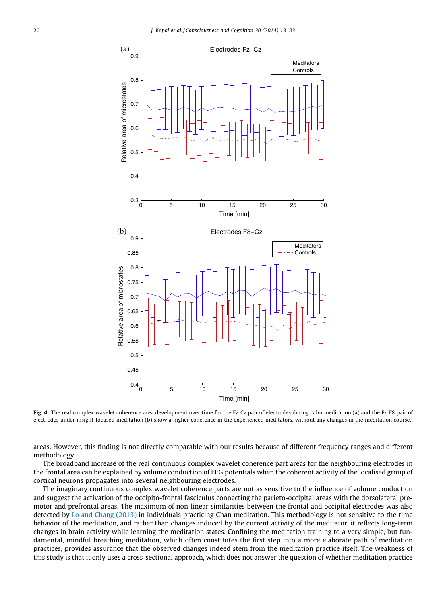<span id="page-7-0"></span>

Fig. 4. The real complex wavelet coherence area development over time for the Fz-Cz pair of electrodes during calm meditation (a) and the Fz-F8 pair of electrodes under insight-focused meditation (b) show a higher coherence in the experienced meditators, without any changes in the meditation course.

areas. However, this finding is not directly comparable with our results because of different frequency ranges and different methodology.

The broadband increase of the real continuous complex wavelet coherence part areas for the neighbouring electrodes in the frontal area can be explained by volume conduction of EEG potentials when the coherent activity of the localised group of cortical neurons propagates into several neighbouring electrodes.

The imaginary continuous complex wavelet coherence parts are not as sensitive to the influence of volume conduction and suggest the activation of the occipito-frontal fasciculus connecting the parieto-occipital areas with the dorsolateral premotor and prefrontal areas. The maximum of non-linear similarities between the frontal and occipital electrodes was also detected by [Lo and Chang \(2013\)](#page-10-0) in individuals practicing Chan meditation. This methodology is not sensitive to the time behavior of the meditation, and rather than changes induced by the current activity of the meditator, it reflects long-term changes in brain activity while learning the meditation states. Confining the meditation training to a very simple, but fundamental, mindful breathing meditation, which often constitutes the first step into a more elaborate path of meditation practices, provides assurance that the observed changes indeed stem from the meditation practice itself. The weakness of this study is that it only uses a cross-sectional approach, which does not answer the question of whether meditation practice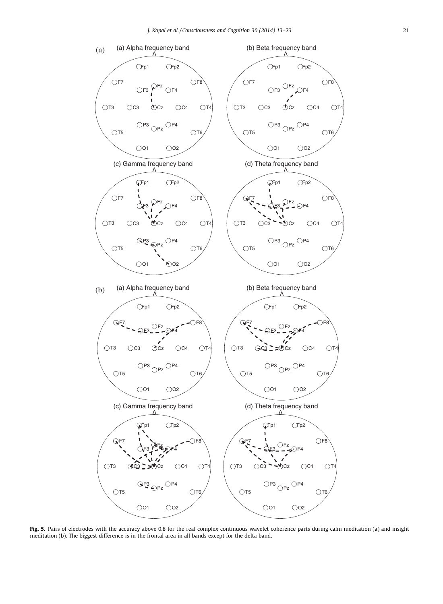<span id="page-8-0"></span>

Fig. 5. Pairs of electrodes with the accuracy above 0.8 for the real complex continuous wavelet coherence parts during calm meditation (a) and insight meditation (b). The biggest difference is in the frontal area in all bands except for the delta band.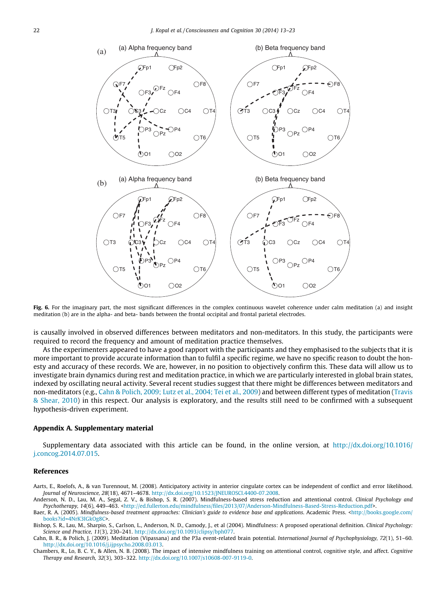<span id="page-9-0"></span>

Fig. 6. For the imaginary part, the most significant differences in the complex continuous wavelet coherence under calm meditation (a) and insight meditation (b) are in the alpha- and beta- bands between the frontal occipital and frontal parietal electrodes.

is causally involved in observed differences between meditators and non-meditators. In this study, the participants were required to record the frequency and amount of meditation practice themselves.

As the experimenters appeared to have a good rapport with the participants and they emphasised to the subjects that it is more important to provide accurate information than to fulfil a specific regime, we have no specific reason to doubt the honesty and accuracy of these records. We are, however, in no position to objectively confirm this. These data will allow us to investigate brain dynamics during rest and meditation practice, in which we are particularly interested in global brain states, indexed by oscillating neural activity. Several recent studies suggest that there might be differences between meditators and non-meditators (e.g., Cahn & Polich, 2009; Lutz et al., 2004; Tei et al., 2009) and between different types of meditation ([Travis](#page-10-0) [& Shear, 2010](#page-10-0)) in this respect. Our analysis is exploratory, and the results still need to be confirmed with a subsequent hypothesis-driven experiment.

#### Appendix A. Supplementary material

Supplementary data associated with this article can be found, in the online version, at [http://dx.doi.org/10.1016/](http://dx.doi.org/10.1016/j.concog.2014.07.015) [j.concog.2014.07.015](http://dx.doi.org/10.1016/j.concog.2014.07.015).

#### References

Aarts, E., Roelofs, A., & van Turennout, M. (2008). Anticipatory activity in anterior cingulate cortex can be independent of conflict and error likelihood. Journal of Neuroscience, 28(18), 4671–4678. <http://dx.doi.org/10.1523/JNEUROSCI.4400-07.2008>.

Anderson, N. D., Lau, M. A., Segal, Z. V., & Bishop, S. R. (2007). Mindfulness-based stress reduction and attentional control. Clinical Psychology and Psychotherapy, 14(6), 449–463. [<http://ed.fullerton.edu/mindfulness/files/2013/07/Anderson-Mindfulness-Based-Stress-Reduction.pdf>](http://ed.fullerton.edu/mindfulness/files/2013/07/).

Baer, R. A. (2005). Mindfulness-based treatment approaches: Clinician's guide to evidence base and applications. Academic Press. <[http://books.google.com/](http://books.google.com/books?id=4NrK3IGkOg8C) [books?id=4NrK3IGkOg8C>](http://books.google.com/books?id=4NrK3IGkOg8C).

Bishop, S. R., Lau, M., Sharpio, S., Carlson, L., Anderson, N. D., Camody, J., et al (2004). Mindfulness: A proposed operational definition. Clinical Psychology: Science and Practice, 11(3), 230–241. [http://dx.doi.org/10.1093/clipsy/bph077.](http://dx.doi.org/10.1093/clipsy/bph077)

Cahn, B. R., & Polich, J. (2009). Meditation (Vipassana) and the P3a event-related brain potential. International Journal of Psychophysiology, 72(1), 51–60. <http://dx.doi.org/10.1016/j.ijpsycho.2008.03.013>.

Chambers, R., Lo, B. C. Y., & Allen, N. B. (2008). The impact of intensive mindfulness training on attentional control, cognitive style, and affect. Cognitive Therapy and Research, 32(3), 303–322. <http://dx.doi.org/10.1007/s10608-007-9119-0>.